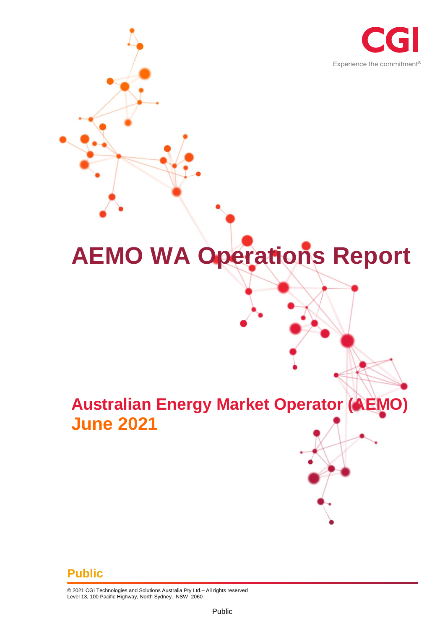

# **AEMO WA Operations Report**

# **Australian Energy Market Operator (AEMO) June 2021**

#### **Public**

© 2021 CGI Technologies and Solutions Australia Pty Ltd.– All rights reserved Level 13, 100 Pacific Highway, North Sydney. NSW 2060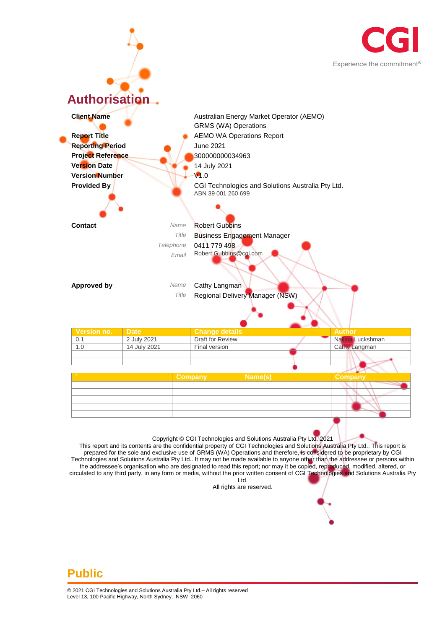



prepared for the sole and exclusive use of GRMS (WA) Operations and therefore, is considered to be proprietary by CGI Technologies and Solutions Australia Pty Ltd.. It may not be made available to anyone other than the addressee or persons within the addressee's organisation who are designated to read this report; nor may it be copied, reproduced, modified, altered, or circulated to any third party, in any form or media, without the prior written consent of CGI Technologies and Solutions Australia Pty Ltd.

All rights are reserved.

#### **Public**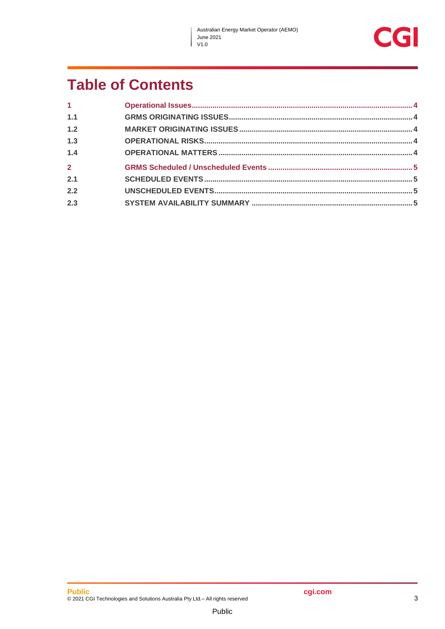$\overline{\phantom{a}}$ 

### **Table of Contents**

| 1 <sup>1</sup> |  |
|----------------|--|
| 1.1            |  |
| 1.2            |  |
| 1.3            |  |
| 1.4            |  |
| $\overline{2}$ |  |
| 2.1            |  |
| 2.2            |  |
| 2.3            |  |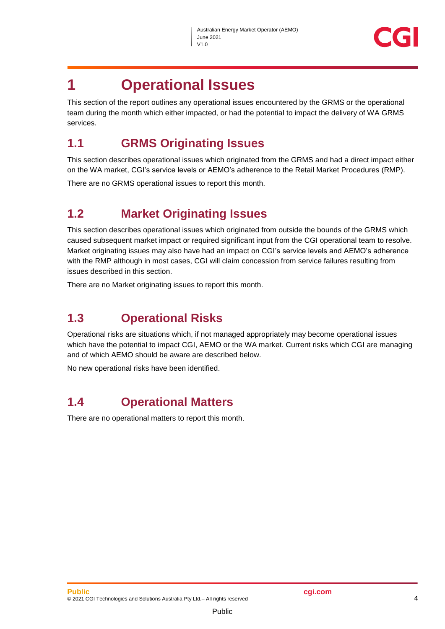

### <span id="page-3-0"></span>**1 Operational Issues**

This section of the report outlines any operational issues encountered by the GRMS or the operational team during the month which either impacted, or had the potential to impact the delivery of WA GRMS services.

#### <span id="page-3-1"></span>**1.1 GRMS Originating Issues**

This section describes operational issues which originated from the GRMS and had a direct impact either on the WA market, CGI's service levels or AEMO's adherence to the Retail Market Procedures (RMP).

There are no GRMS operational issues to report this month.

#### <span id="page-3-2"></span>**1.2 Market Originating Issues**

This section describes operational issues which originated from outside the bounds of the GRMS which caused subsequent market impact or required significant input from the CGI operational team to resolve. Market originating issues may also have had an impact on CGI's service levels and AEMO's adherence with the RMP although in most cases, CGI will claim concession from service failures resulting from issues described in this section.

There are no Market originating issues to report this month.

#### <span id="page-3-3"></span>**1.3 Operational Risks**

Operational risks are situations which, if not managed appropriately may become operational issues which have the potential to impact CGI, AEMO or the WA market. Current risks which CGI are managing and of which AEMO should be aware are described below.

No new operational risks have been identified.

#### <span id="page-3-4"></span>**1.4 Operational Matters**

There are no operational matters to report this month.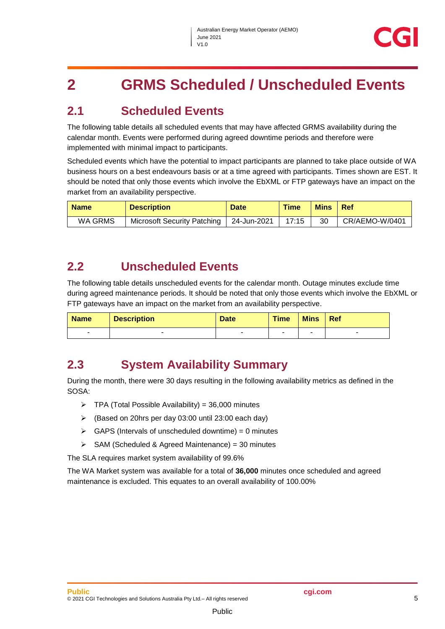## <span id="page-4-0"></span>**2 GRMS Scheduled / Unscheduled Events**

#### <span id="page-4-1"></span>**2.1 Scheduled Events**

The following table details all scheduled events that may have affected GRMS availability during the calendar month. Events were performed during agreed downtime periods and therefore were implemented with minimal impact to participants.

Scheduled events which have the potential to impact participants are planned to take place outside of WA business hours on a best endeavours basis or at a time agreed with participants. Times shown are EST. It should be noted that only those events which involve the EbXML or FTP gateways have an impact on the market from an availability perspective.

| <b>Name</b> | <b>Description</b>          | <b>Date</b> | <b>Time</b> | <b>Mins</b> | <b>Ref</b>     |
|-------------|-----------------------------|-------------|-------------|-------------|----------------|
| WA GRMS     | Microsoft Security Patching | 24-Jun-2021 | 17:15       | 30          | CR/AEMO-W/0401 |

#### <span id="page-4-2"></span>**2.2 Unscheduled Events**

The following table details unscheduled events for the calendar month. Outage minutes exclude time during agreed maintenance periods. It should be noted that only those events which involve the EbXML or FTP gateways have an impact on the market from an availability perspective.

| <b>Name</b> | <b>Description</b> | <b>Date</b> | <b>Time</b> | <b>Mins</b> | Ref |
|-------------|--------------------|-------------|-------------|-------------|-----|
| -           |                    |             |             |             | -   |

#### <span id="page-4-3"></span>**2.3 System Availability Summary**

During the month, there were 30 days resulting in the following availability metrics as defined in the SOSA:

- $\triangleright$  TPA (Total Possible Availability) = 36,000 minutes
- (Based on 20hrs per day 03:00 until 23:00 each day)
- $\triangleright$  GAPS (Intervals of unscheduled downtime) = 0 minutes
- $\triangleright$  SAM (Scheduled & Agreed Maintenance) = 30 minutes

The SLA requires market system availability of 99.6%

The WA Market system was available for a total of **36,000** minutes once scheduled and agreed maintenance is excluded. This equates to an overall availability of 100.00%

Public